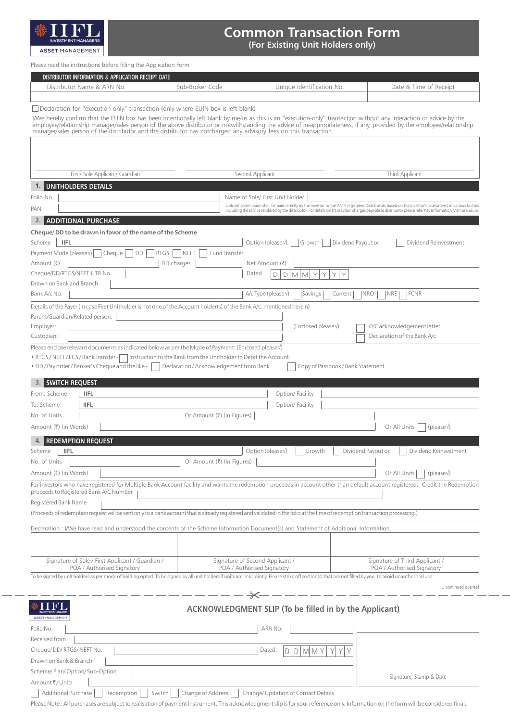

## **Common Transaction Form (For Existing Unit Holders only)**

Please read the instructions before filling the Application Form

| DISTRIBUTOR INFORMATION & APPLICATION RECEIPT DATE                                                                                                                                                                                                                                                                                             |                                                                                                              |                                            |                                   |                                                                                                                                                                                                                                                                                                             |
|------------------------------------------------------------------------------------------------------------------------------------------------------------------------------------------------------------------------------------------------------------------------------------------------------------------------------------------------|--------------------------------------------------------------------------------------------------------------|--------------------------------------------|-----------------------------------|-------------------------------------------------------------------------------------------------------------------------------------------------------------------------------------------------------------------------------------------------------------------------------------------------------------|
| Distributor Name & ARN No.                                                                                                                                                                                                                                                                                                                     | Sub-Broker Code                                                                                              | Unique Identification No.                  |                                   | Date & Time of Receipt                                                                                                                                                                                                                                                                                      |
|                                                                                                                                                                                                                                                                                                                                                |                                                                                                              |                                            |                                   |                                                                                                                                                                                                                                                                                                             |
| $\Box$ Declaration for "execution-only" transaction (only where EUIN box is left blank)                                                                                                                                                                                                                                                        |                                                                                                              |                                            |                                   |                                                                                                                                                                                                                                                                                                             |
| I/We hereby confirm that the EUIN box has been intentionally left blank by me/us as this is an "execution-only" transaction without any interaction or advice by the<br>employee/relationship manager/sales person of the above distributor or notwithstanding the advice of in-appropriateness, if any, provided by the employee/relationship |                                                                                                              |                                            |                                   |                                                                                                                                                                                                                                                                                                             |
| manager/sales person of the distributor and the distributor has notcharged any advisory fees on this transaction.                                                                                                                                                                                                                              |                                                                                                              |                                            |                                   |                                                                                                                                                                                                                                                                                                             |
|                                                                                                                                                                                                                                                                                                                                                |                                                                                                              |                                            |                                   |                                                                                                                                                                                                                                                                                                             |
|                                                                                                                                                                                                                                                                                                                                                |                                                                                                              |                                            |                                   |                                                                                                                                                                                                                                                                                                             |
|                                                                                                                                                                                                                                                                                                                                                |                                                                                                              |                                            |                                   |                                                                                                                                                                                                                                                                                                             |
| First/ Sole Applicant/ Guardian                                                                                                                                                                                                                                                                                                                |                                                                                                              | Second Applicant                           |                                   | Third Applicant                                                                                                                                                                                                                                                                                             |
| 1. UNITHOLDERS DETAILS                                                                                                                                                                                                                                                                                                                         |                                                                                                              |                                            |                                   |                                                                                                                                                                                                                                                                                                             |
| Folio No.                                                                                                                                                                                                                                                                                                                                      |                                                                                                              | Name of Sole/ First Unit Holder            |                                   |                                                                                                                                                                                                                                                                                                             |
| PAN                                                                                                                                                                                                                                                                                                                                            |                                                                                                              |                                            |                                   | Upfront commission shall be paid directly by the investor to the AMFI registered Distributors based on the investor's assessment of various factors<br>including the service rendered by the distributor. For details on transaction charges payable to distributor please refer Key Information Memorandum |
| <b>2. ADDITIONAL PURCHASE</b>                                                                                                                                                                                                                                                                                                                  |                                                                                                              |                                            |                                   |                                                                                                                                                                                                                                                                                                             |
| Cheque/DD to be drawn in favor of the name of the Scheme                                                                                                                                                                                                                                                                                       |                                                                                                              |                                            |                                   |                                                                                                                                                                                                                                                                                                             |
| <b>IIFL</b><br>Scheme                                                                                                                                                                                                                                                                                                                          |                                                                                                              | Option (please $\sqrt{ }$ )<br>Growth      | Dividend Payout or                | Dividend Reinvestment                                                                                                                                                                                                                                                                                       |
| Payment Mode (please \)  <br>Cheque<br>DD<br>Amount (₹)                                                                                                                                                                                                                                                                                        | <b>RTGS</b><br><b>NEFT</b><br>Fund Transfer                                                                  |                                            |                                   |                                                                                                                                                                                                                                                                                                             |
| Cheque/DD/RTGS/NEFT UTR No.                                                                                                                                                                                                                                                                                                                    | DD charges                                                                                                   | Net Amount (₹)<br>Dated<br>$M$ $M$ $Y$     | Y<br>Y                            |                                                                                                                                                                                                                                                                                                             |
| Drawn on Bank and Branch                                                                                                                                                                                                                                                                                                                       |                                                                                                              | $\mathsf D$<br>D                           | Υ                                 |                                                                                                                                                                                                                                                                                                             |
| Bank A/c No.                                                                                                                                                                                                                                                                                                                                   |                                                                                                              | $A/c$ Type (please $\sqrt{ }$ )<br>Savings | NRO<br>Current                    | <b>NRE</b><br><b>FCNR</b>                                                                                                                                                                                                                                                                                   |
| Details of the Payer (In case First Unitholder is not one of the Account holder(s) of the Bank A/c. mentioned herein)                                                                                                                                                                                                                          |                                                                                                              |                                            |                                   |                                                                                                                                                                                                                                                                                                             |
| Parent/Guardian/Related person:                                                                                                                                                                                                                                                                                                                |                                                                                                              |                                            |                                   |                                                                                                                                                                                                                                                                                                             |
| Employer:                                                                                                                                                                                                                                                                                                                                      |                                                                                                              | (Enclosed pleasev)                         |                                   | KYC acknowledgement letter                                                                                                                                                                                                                                                                                  |
| Custodian:                                                                                                                                                                                                                                                                                                                                     |                                                                                                              |                                            |                                   | Declaration of the Bank A/c                                                                                                                                                                                                                                                                                 |
| Please enclose relevant documents as indicated below as per the Mode of Payment: (Enclosed please $\sqrt{ }$ )                                                                                                                                                                                                                                 |                                                                                                              |                                            |                                   |                                                                                                                                                                                                                                                                                                             |
| • RTGS/NEFT/ECS/Bank Transfer -<br>. DD/Pay order/Banker's Cheque and the like -                                                                                                                                                                                                                                                               | Instruction to the Bank from the Unitholder to Debit the Account.<br>Declaration / Acknowledgement from Bank |                                            | Copy of Passbook / Bank Statement |                                                                                                                                                                                                                                                                                                             |
|                                                                                                                                                                                                                                                                                                                                                |                                                                                                              |                                            |                                   |                                                                                                                                                                                                                                                                                                             |
| <b>3. SWITCH REQUEST</b>                                                                                                                                                                                                                                                                                                                       |                                                                                                              |                                            |                                   |                                                                                                                                                                                                                                                                                                             |
| From: Scheme<br><b>IIFL</b>                                                                                                                                                                                                                                                                                                                    |                                                                                                              | Option/Facility                            |                                   |                                                                                                                                                                                                                                                                                                             |
| To: Scheme<br><b>IIFL</b>                                                                                                                                                                                                                                                                                                                      |                                                                                                              | Option/ Facility                           |                                   |                                                                                                                                                                                                                                                                                                             |
| No. of Units                                                                                                                                                                                                                                                                                                                                   | Or Amount (₹) (in Figures)                                                                                   |                                            |                                   |                                                                                                                                                                                                                                                                                                             |
| Amount (₹) (in Words)                                                                                                                                                                                                                                                                                                                          |                                                                                                              |                                            |                                   | Or All Units<br>$ $ (please $\vee$ )                                                                                                                                                                                                                                                                        |
| <b>REDEMPTION REQUEST</b>                                                                                                                                                                                                                                                                                                                      |                                                                                                              |                                            |                                   |                                                                                                                                                                                                                                                                                                             |
| Scheme <b>IFL</b><br>No. of Units                                                                                                                                                                                                                                                                                                              | Or Amount (₹) (in Figures)                                                                                   | Option (pleasev)                           | Growth Dividend Payout or         | Dividend Reinvestment                                                                                                                                                                                                                                                                                       |
| Amount (₹) (in Words)                                                                                                                                                                                                                                                                                                                          |                                                                                                              |                                            |                                   | Or All Units<br>$ $ (please $\sqrt{ }$ )                                                                                                                                                                                                                                                                    |
| For investors who have registered for Multiple Bank Account facility and wants the redemption proceeds in account other than default account registered:- Credit the Redemption                                                                                                                                                                |                                                                                                              |                                            |                                   |                                                                                                                                                                                                                                                                                                             |
| proceeds to Registered Bank A/C Number                                                                                                                                                                                                                                                                                                         |                                                                                                              |                                            |                                   |                                                                                                                                                                                                                                                                                                             |
| Registered Bank Name                                                                                                                                                                                                                                                                                                                           |                                                                                                              |                                            |                                   |                                                                                                                                                                                                                                                                                                             |
| (Proceeds of redemption request will be sent only to a bank account that is already registered and validated in the folio at the time of redemption transaction processing.)                                                                                                                                                                   |                                                                                                              |                                            |                                   |                                                                                                                                                                                                                                                                                                             |
| Declaration: I/We have read and understood the contents of the Scheme Information Document(s) and Statement of Additional Information.                                                                                                                                                                                                         |                                                                                                              |                                            |                                   |                                                                                                                                                                                                                                                                                                             |
|                                                                                                                                                                                                                                                                                                                                                |                                                                                                              |                                            |                                   |                                                                                                                                                                                                                                                                                                             |
|                                                                                                                                                                                                                                                                                                                                                |                                                                                                              |                                            |                                   |                                                                                                                                                                                                                                                                                                             |
| Signature of Sole / First Applicant / Guardian /                                                                                                                                                                                                                                                                                               |                                                                                                              | Signature of Second Applicant /            |                                   | Signature of Third Applicant /                                                                                                                                                                                                                                                                              |
| POA / Authorised Signatory<br>To be signed by unit holders as per mode of holding opted. To be signed by all unit holders if units are held jointly. Please strike off section(s) that are not filled by you, to avoid unauthorised use.                                                                                                       |                                                                                                              | POA / Authorised Signatory                 |                                   | POA / Authorised Signatory                                                                                                                                                                                                                                                                                  |
| continued overleaf                                                                                                                                                                                                                                                                                                                             |                                                                                                              |                                            |                                   |                                                                                                                                                                                                                                                                                                             |
|                                                                                                                                                                                                                                                                                                                                                |                                                                                                              |                                            |                                   |                                                                                                                                                                                                                                                                                                             |
| ACKNOWLEDGMENT SLIP (To be filled in by the Applicant)<br><b>ASSET MANAGEMENT</b>                                                                                                                                                                                                                                                              |                                                                                                              |                                            |                                   |                                                                                                                                                                                                                                                                                                             |
| Folio No.                                                                                                                                                                                                                                                                                                                                      |                                                                                                              | ARN No:                                    |                                   |                                                                                                                                                                                                                                                                                                             |
| Received from                                                                                                                                                                                                                                                                                                                                  |                                                                                                              |                                            |                                   |                                                                                                                                                                                                                                                                                                             |
| Cheque/DD/RTGS/NEFT No.                                                                                                                                                                                                                                                                                                                        |                                                                                                              | Dated:<br>MMY<br>D<br>D                    |                                   |                                                                                                                                                                                                                                                                                                             |
| Drawn on Bank & Branch                                                                                                                                                                                                                                                                                                                         |                                                                                                              |                                            |                                   |                                                                                                                                                                                                                                                                                                             |

Scheme/ Plan/ Option/ Sub-Option

Amount₹/Units

Additional Purchase Redemption Switch Change of Address Change/ Updation of Contact Details

Please Note : All purchases are subject to realisation of payment instrument. This acknowledgment slip is for your reference only. Information on the form will be considered final.

Signature, Stamp & Date